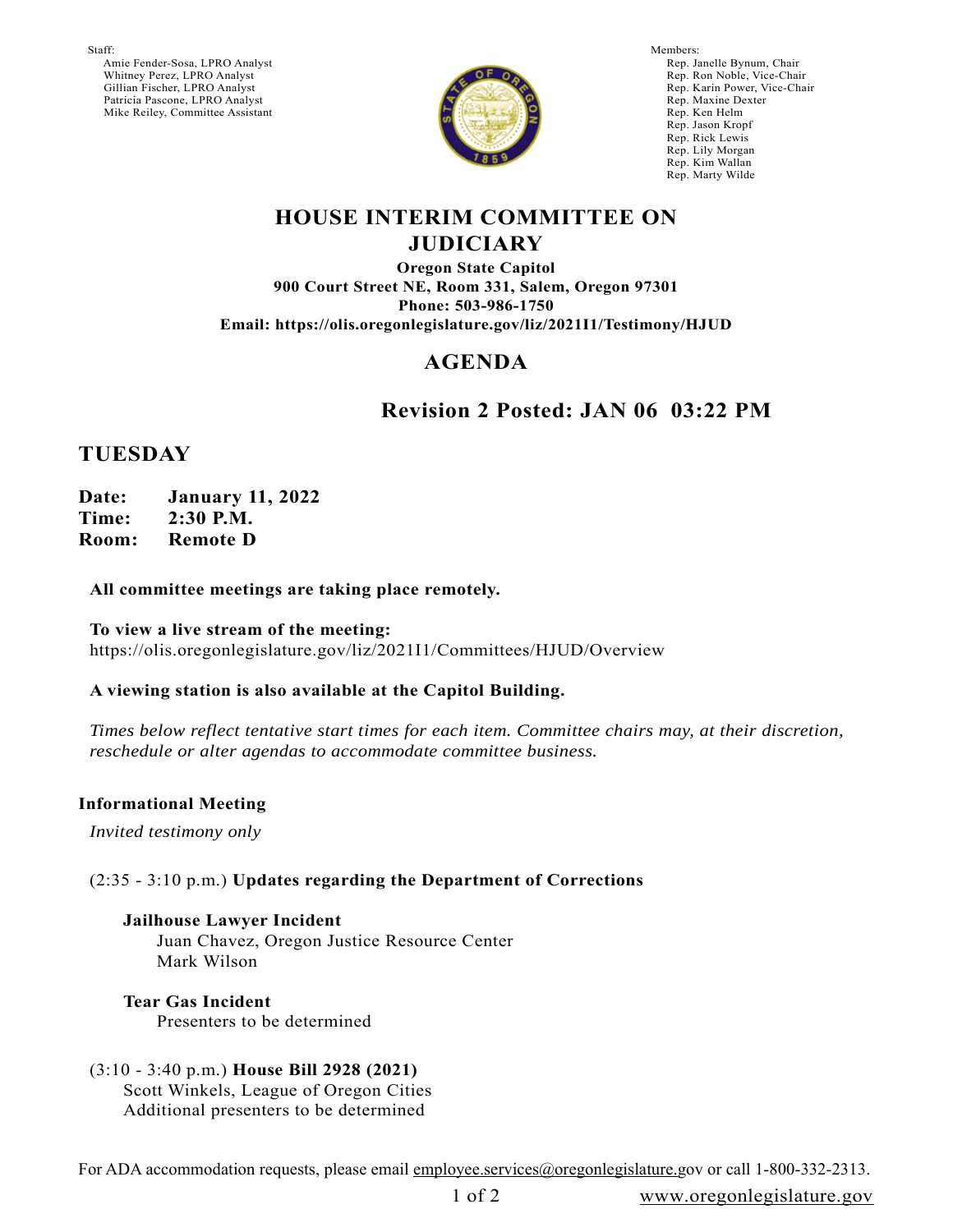Staff:

 Amie Fender-Sosa, LPRO Analyst Whitney Perez, LPRO Analyst Gillian Fischer, LPRO Analyst Patricia Pascone, LPRO Analyst Mike Reiley, Committee Assistant



Members: Rep. Janelle Bynum, Chair Rep. Ron Noble, Vice-Chair Rep. Karin Power, Vice-Chair Rep. Maxine Dexter Rep. Ken Helm Rep. Jason Kropf Rep. Rick Lewis Rep. Lily Morgan Rep. Kim Wallan Rep. Marty Wilde

### **HOUSE INTERIM COMMITTEE ON JUDICIARY**

**Oregon State Capitol 900 Court Street NE, Room 331, Salem, Oregon 97301 Phone: 503-986-1750 Email: https://olis.oregonlegislature.gov/liz/2021I1/Testimony/HJUD**

# **AGENDA**

# **Revision 2 Posted: JAN 06 03:22 PM**

## **TUESDAY**

**Date: January 11, 2022 Time: 2:30 P.M. Room: Remote D**

### **All committee meetings are taking place remotely.**

**To view a live stream of the meeting:**  https://olis.oregonlegislature.gov/liz/2021I1/Committees/HJUD/Overview

#### **A viewing station is also available at the Capitol Building.**

*Times below reflect tentative start times for each item. Committee chairs may, at their discretion, reschedule or alter agendas to accommodate committee business.* 

#### **Informational Meeting**

*Invited testimony only*

### (2:35 - 3:10 p.m.) **Updates regarding the Department of Corrections**

**Jailhouse Lawyer Incident** Juan Chavez, Oregon Justice Resource Center Mark Wilson

**Tear Gas Incident** Presenters to be determined

(3:10 - 3:40 p.m.) **House Bill 2928 (2021)** Scott Winkels, League of Oregon Cities Additional presenters to be determined

For ADA accommodation requests, please email employee.services@oregonlegislature.gov or call 1-800-332-2313.